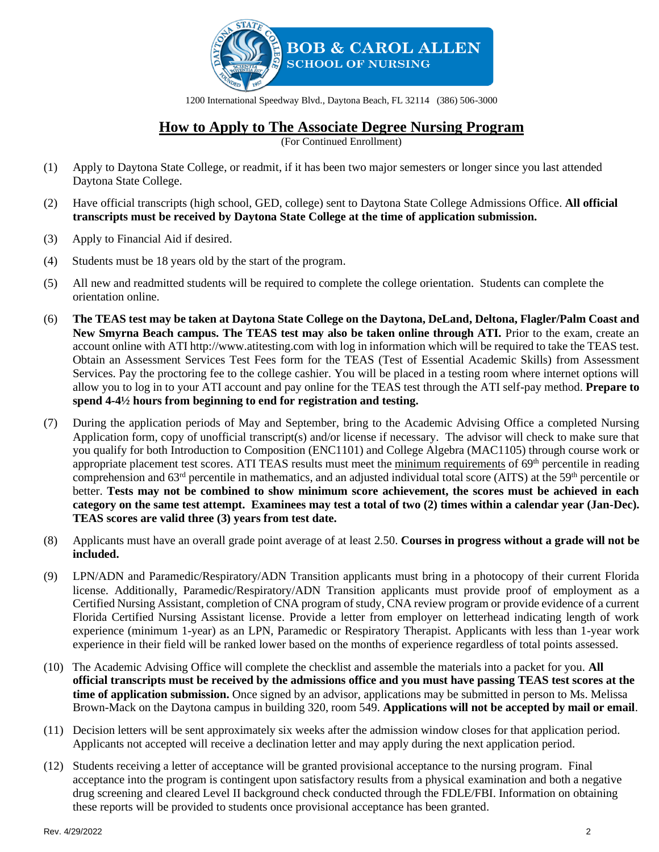

1200 International Speedway Blvd., Daytona Beach, FL 32114 (386) 506-3000

## **How to Apply to The Associate Degree Nursing Program**

(For Continued Enrollment)

- (1) Apply to Daytona State College, or readmit, if it has been two major semesters or longer since you last attended Daytona State College.
- (2) Have official transcripts (high school, GED, college) sent to Daytona State College Admissions Office. **All official transcripts must be received by Daytona State College at the time of application submission.**
- (3) Apply to Financial Aid if desired.
- (4) Students must be 18 years old by the start of the program.
- (5) All new and readmitted students will be required to complete the college orientation. Students can complete the orientation online.
- (6) **The TEAS test may be taken at Daytona State College on the Daytona, DeLand, Deltona, Flagler/Palm Coast and New Smyrna Beach campus. The TEAS test may also be taken online through ATI.** Prior to the exam, create an account online with ATI http://www.atitesting.com with log in information which will be required to take the TEAS test. Obtain an Assessment Services Test Fees form for the TEAS (Test of Essential Academic Skills) from Assessment Services. Pay the proctoring fee to the college cashier. You will be placed in a testing room where internet options will allow you to log in to your ATI account and pay online for the TEAS test through the ATI self-pay method. **Prepare to spend 4-4½ hours from beginning to end for registration and testing.**
- (7) During the application periods of May and September, bring to the Academic Advising Office a completed Nursing Application form, copy of unofficial transcript(s) and/or license if necessary. The advisor will check to make sure that you qualify for both Introduction to Composition (ENC1101) and College Algebra (MAC1105) through course work or appropriate placement test scores. ATI TEAS results must meet the minimum requirements of  $69<sup>th</sup>$  percentile in reading comprehension and  $63<sup>rd</sup>$  percentile in mathematics, and an adjusted individual total score (AITS) at the  $59<sup>th</sup>$  percentile or better. **Tests may not be combined to show minimum score achievement, the scores must be achieved in each category on the same test attempt. Examinees may test a total of two (2) times within a calendar year (Jan-Dec). TEAS scores are valid three (3) years from test date.**
- (8) Applicants must have an overall grade point average of at least 2.50. **Courses in progress without a grade will not be included.**
- (9) LPN/ADN and Paramedic/Respiratory/ADN Transition applicants must bring in a photocopy of their current Florida license. Additionally, Paramedic/Respiratory/ADN Transition applicants must provide proof of employment as a Certified Nursing Assistant, completion of CNA program of study, CNA review program or provide evidence of a current Florida Certified Nursing Assistant license. Provide a letter from employer on letterhead indicating length of work experience (minimum 1-year) as an LPN, Paramedic or Respiratory Therapist. Applicants with less than 1-year work experience in their field will be ranked lower based on the months of experience regardless of total points assessed.
- (10) The Academic Advising Office will complete the checklist and assemble the materials into a packet for you. **All official transcripts must be received by the admissions office and you must have passing TEAS test scores at the time of application submission.** Once signed by an advisor, applications may be submitted in person to Ms. Melissa Brown-Mack on the Daytona campus in building 320, room 549. **Applications will not be accepted by mail or email**.
- (11) Decision letters will be sent approximately six weeks after the admission window closes for that application period. Applicants not accepted will receive a declination letter and may apply during the next application period.
- (12) Students receiving a letter of acceptance will be granted provisional acceptance to the nursing program. Final acceptance into the program is contingent upon satisfactory results from a physical examination and both a negative drug screening and cleared Level II background check conducted through the FDLE/FBI. Information on obtaining these reports will be provided to students once provisional acceptance has been granted.